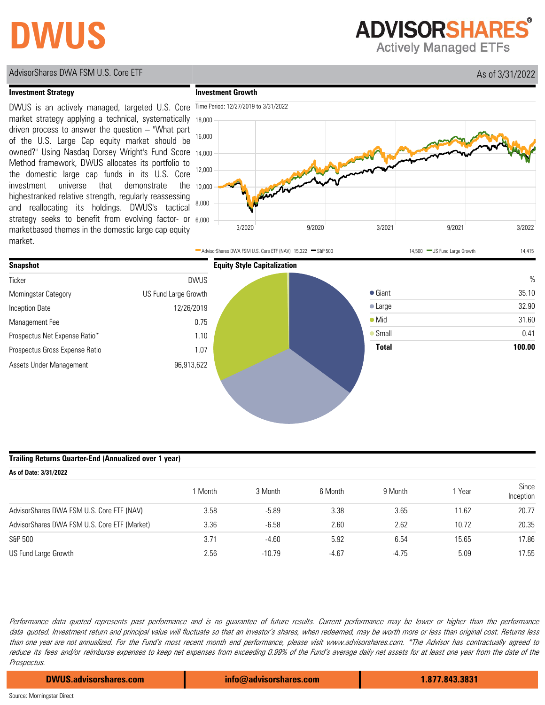# **DWUS**

**ADVISORSHARES®** 

**Actively Managed ETFs** 

## AdvisorShares DWA FSM U.S. Core ETF As of 3/31/2022

### **Investment Strategy**

strategy seeks to benefit from evolving factor- or 6,000 the <sub>10,000</sub> owned?" Using Nasdaq Dorsey Wright's Fund Score 14,000 DWUS is an actively managed, targeted U.S. Core market strategy applying a technical, systematically driven process to answer the question – "What part of the U.S. Large Cap equity market should be Method framework, DWUS allocates its portfolio to the domestic large cap funds in its U.S. Core investment universe that demonstrate highestranked relative strength, regularly reassessing and reallocating its holdings. DWUS's tactical marketbased themes in the domestic large cap equity market.





**Investment Growth**

#### **Trailing Returns Quarter-End (Annualized over 1 year)**

| As of Date: 3/31/2022                        |       |          |         |         |       |                    |  |
|----------------------------------------------|-------|----------|---------|---------|-------|--------------------|--|
|                                              | Month | 3 Month  | 6 Month | 9 Month | Year  | Since<br>Inception |  |
| AdvisorShares DWA FSM U.S. Core ETF (NAV)    | 3.58  | $-5.89$  | 3.38    | 3.65    | 11.62 | 20.77              |  |
| AdvisorShares DWA FSM U.S. Core ETF (Market) | 3.36  | $-6.58$  | 2.60    | 2.62    | 10.72 | 20.35              |  |
| S&P 500                                      | 3.71  | $-4.60$  | 5.92    | 6.54    | 15.65 | 17.86              |  |
| US Fund Large Growth                         | 2.56  | $-10.79$ | $-4.67$ | $-4.75$ | 5.09  | 17.55              |  |

Performance data quoted represents past performance and is no guarantee of future results. Current performance may be lower or higher than the performance data quoted. Investment return and principal value will fluctuate so that an investor's shares, when redeemed, may be worth more or less than original cost. Returns less than one year are not annualized. For the Fund's most recent month end performance, please visit www.advisorshares.com. \*The Advisor has contractually agreed to reduce its fees and/or reimburse expenses to keep net expenses from exceeding 0.99% of the Fund's average daily net assets for at least one year from the date of the Prospectus.

**DWUS.advisorshares.com info@advisorshares.com 1.877.843.3831**

Source: Morningstar Direct